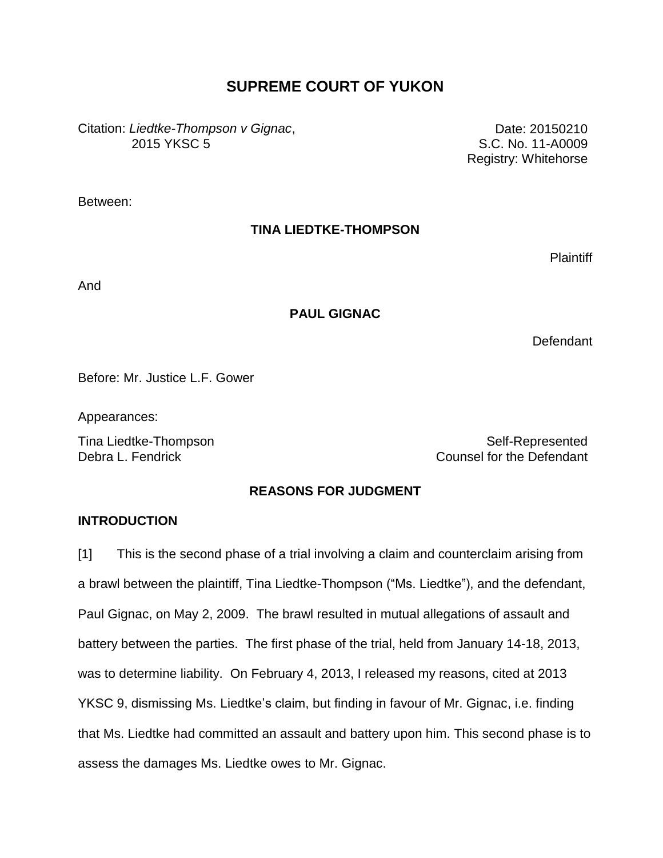# **SUPREME COURT OF YUKON**

Citation: *Liedtke-Thompson v Gignac*, 2015 YKSC 5

Date: 20150210 S.C. No. 11-A0009 Registry: Whitehorse

Between:

## **TINA LIEDTKE-THOMPSON**

**Plaintiff** 

And

## **PAUL GIGNAC**

Defendant

Before: Mr. Justice L.F. Gower

Appearances:

Tina Liedtke-Thompson Self-Represented Debra L. Fendrick Counsel for the Defendant

## **REASONS FOR JUDGMENT**

### **INTRODUCTION**

[1] This is the second phase of a trial involving a claim and counterclaim arising from a brawl between the plaintiff, Tina Liedtke-Thompson ("Ms. Liedtke"), and the defendant, Paul Gignac, on May 2, 2009. The brawl resulted in mutual allegations of assault and battery between the parties. The first phase of the trial, held from January 14-18, 2013, was to determine liability. On February 4, 2013, I released my reasons, cited at 2013 YKSC 9, dismissing Ms. Liedtke's claim, but finding in favour of Mr. Gignac, i.e. finding that Ms. Liedtke had committed an assault and battery upon him. This second phase is to assess the damages Ms. Liedtke owes to Mr. Gignac.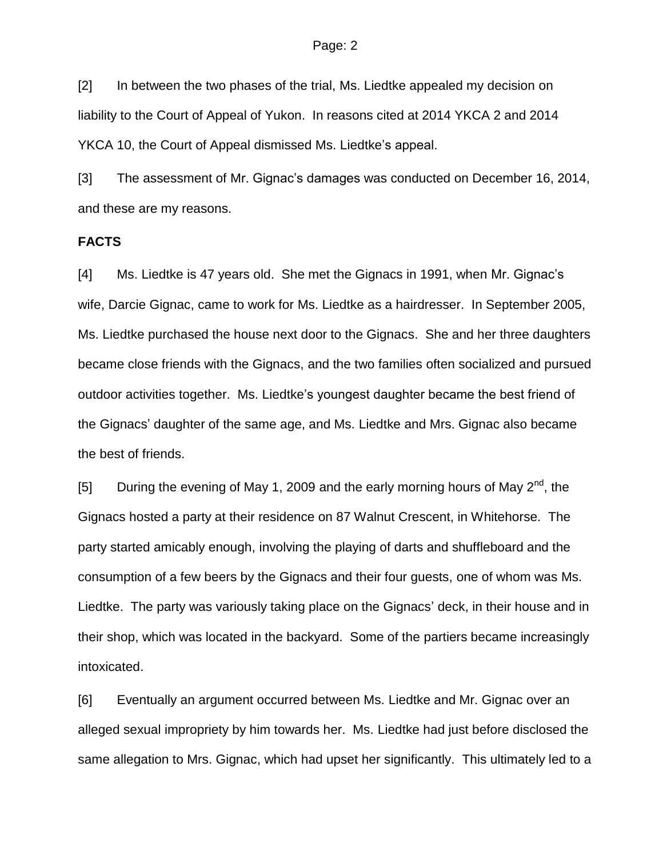[2] In between the two phases of the trial, Ms. Liedtke appealed my decision on liability to the Court of Appeal of Yukon. In reasons cited at 2014 YKCA 2 and 2014 YKCA 10, the Court of Appeal dismissed Ms. Liedtke's appeal.

[3] The assessment of Mr. Gignac's damages was conducted on December 16, 2014, and these are my reasons.

### **FACTS**

[4] Ms. Liedtke is 47 years old. She met the Gignacs in 1991, when Mr. Gignac's wife, Darcie Gignac, came to work for Ms. Liedtke as a hairdresser. In September 2005, Ms. Liedtke purchased the house next door to the Gignacs. She and her three daughters became close friends with the Gignacs, and the two families often socialized and pursued outdoor activities together. Ms. Liedtke's youngest daughter became the best friend of the Gignacs' daughter of the same age, and Ms. Liedtke and Mrs. Gignac also became the best of friends.

[5] During the evening of May 1, 2009 and the early morning hours of May  $2^{nd}$ , the Gignacs hosted a party at their residence on 87 Walnut Crescent, in Whitehorse. The party started amicably enough, involving the playing of darts and shuffleboard and the consumption of a few beers by the Gignacs and their four guests, one of whom was Ms. Liedtke. The party was variously taking place on the Gignacs' deck, in their house and in their shop, which was located in the backyard. Some of the partiers became increasingly intoxicated.

[6] Eventually an argument occurred between Ms. Liedtke and Mr. Gignac over an alleged sexual impropriety by him towards her. Ms. Liedtke had just before disclosed the same allegation to Mrs. Gignac, which had upset her significantly. This ultimately led to a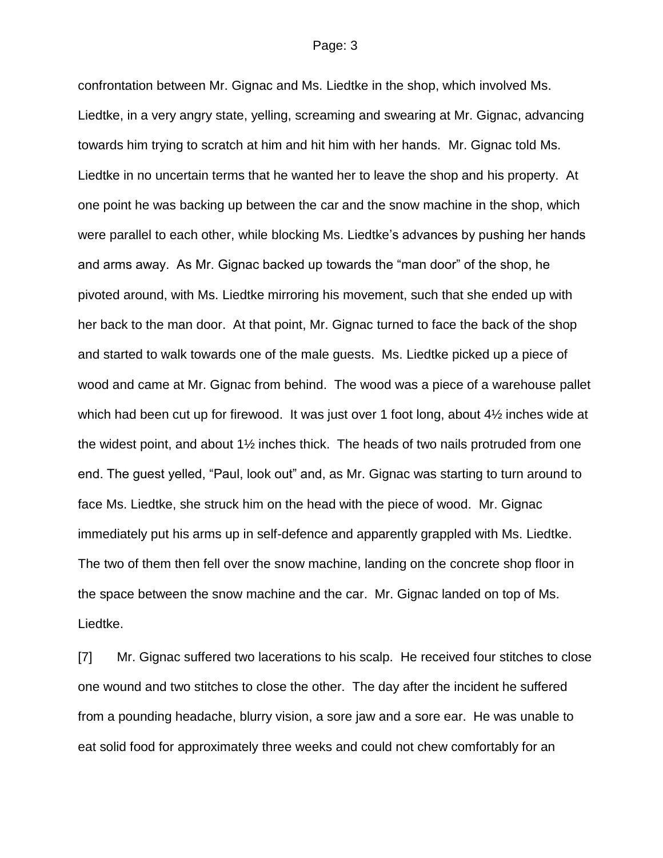confrontation between Mr. Gignac and Ms. Liedtke in the shop, which involved Ms. Liedtke, in a very angry state, yelling, screaming and swearing at Mr. Gignac, advancing towards him trying to scratch at him and hit him with her hands. Mr. Gignac told Ms. Liedtke in no uncertain terms that he wanted her to leave the shop and his property. At one point he was backing up between the car and the snow machine in the shop, which were parallel to each other, while blocking Ms. Liedtke's advances by pushing her hands and arms away. As Mr. Gignac backed up towards the "man door" of the shop, he pivoted around, with Ms. Liedtke mirroring his movement, such that she ended up with her back to the man door. At that point, Mr. Gignac turned to face the back of the shop and started to walk towards one of the male guests. Ms. Liedtke picked up a piece of wood and came at Mr. Gignac from behind. The wood was a piece of a warehouse pallet which had been cut up for firewood. It was just over 1 foot long, about 4<sup>1/2</sup> inches wide at the widest point, and about 1½ inches thick. The heads of two nails protruded from one end. The guest yelled, "Paul, look out" and, as Mr. Gignac was starting to turn around to face Ms. Liedtke, she struck him on the head with the piece of wood. Mr. Gignac immediately put his arms up in self-defence and apparently grappled with Ms. Liedtke. The two of them then fell over the snow machine, landing on the concrete shop floor in the space between the snow machine and the car. Mr. Gignac landed on top of Ms. Liedtke.

[7] Mr. Gignac suffered two lacerations to his scalp. He received four stitches to close one wound and two stitches to close the other. The day after the incident he suffered from a pounding headache, blurry vision, a sore jaw and a sore ear. He was unable to eat solid food for approximately three weeks and could not chew comfortably for an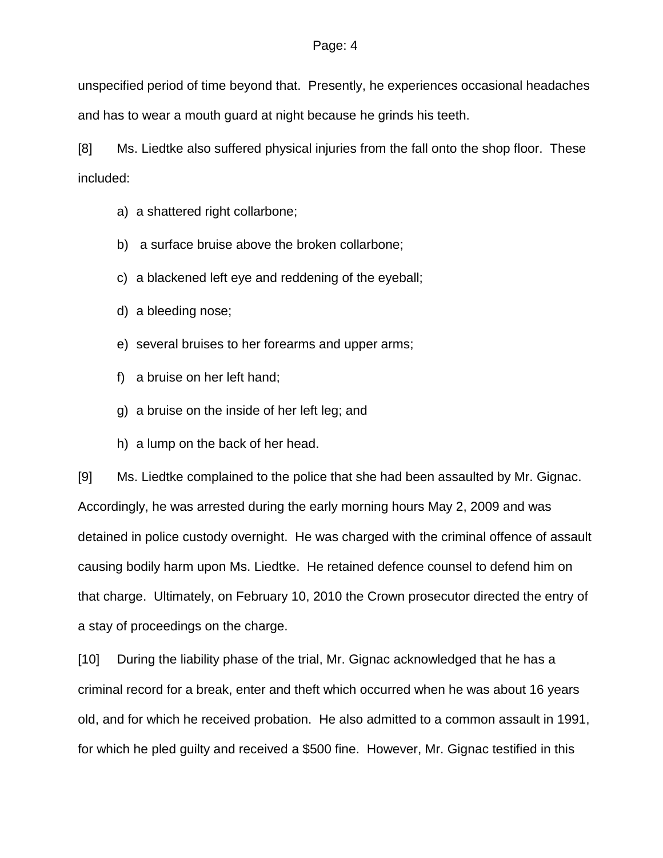unspecified period of time beyond that. Presently, he experiences occasional headaches and has to wear a mouth guard at night because he grinds his teeth.

[8] Ms. Liedtke also suffered physical injuries from the fall onto the shop floor. These included:

a) a shattered right collarbone;

b) a surface bruise above the broken collarbone;

c) a blackened left eye and reddening of the eyeball;

d) a bleeding nose;

e) several bruises to her forearms and upper arms;

f) a bruise on her left hand;

g) a bruise on the inside of her left leg; and

h) a lump on the back of her head.

[9] Ms. Liedtke complained to the police that she had been assaulted by Mr. Gignac. Accordingly, he was arrested during the early morning hours May 2, 2009 and was detained in police custody overnight. He was charged with the criminal offence of assault causing bodily harm upon Ms. Liedtke. He retained defence counsel to defend him on that charge. Ultimately, on February 10, 2010 the Crown prosecutor directed the entry of a stay of proceedings on the charge.

[10] During the liability phase of the trial, Mr. Gignac acknowledged that he has a criminal record for a break, enter and theft which occurred when he was about 16 years old, and for which he received probation. He also admitted to a common assault in 1991, for which he pled guilty and received a \$500 fine. However, Mr. Gignac testified in this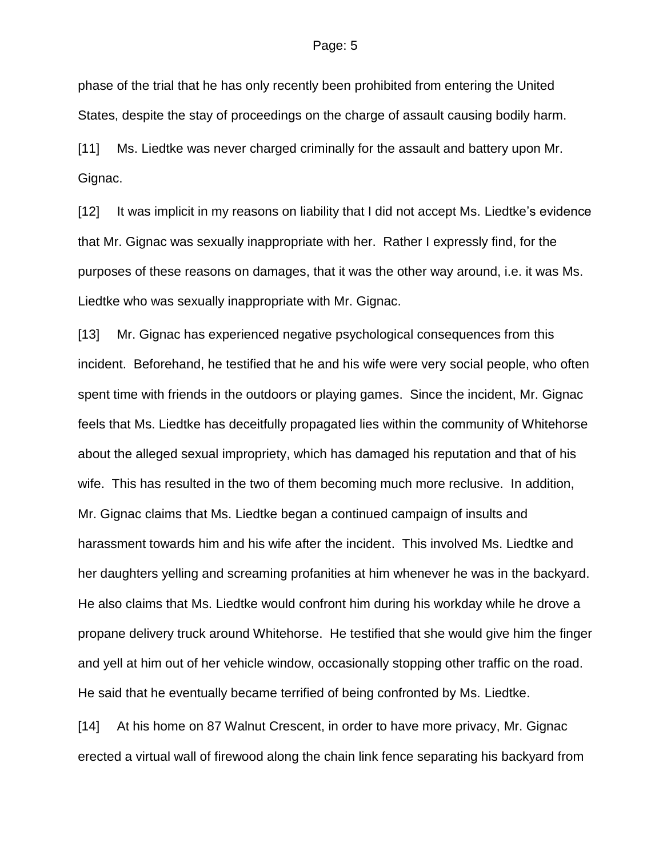phase of the trial that he has only recently been prohibited from entering the United States, despite the stay of proceedings on the charge of assault causing bodily harm.

[11] Ms. Liedtke was never charged criminally for the assault and battery upon Mr. Gignac.

[12] It was implicit in my reasons on liability that I did not accept Ms. Liedtke's evidence that Mr. Gignac was sexually inappropriate with her. Rather I expressly find, for the purposes of these reasons on damages, that it was the other way around, i.e. it was Ms. Liedtke who was sexually inappropriate with Mr. Gignac.

[13] Mr. Gignac has experienced negative psychological consequences from this incident. Beforehand, he testified that he and his wife were very social people, who often spent time with friends in the outdoors or playing games. Since the incident, Mr. Gignac feels that Ms. Liedtke has deceitfully propagated lies within the community of Whitehorse about the alleged sexual impropriety, which has damaged his reputation and that of his wife. This has resulted in the two of them becoming much more reclusive. In addition, Mr. Gignac claims that Ms. Liedtke began a continued campaign of insults and harassment towards him and his wife after the incident. This involved Ms. Liedtke and her daughters yelling and screaming profanities at him whenever he was in the backyard. He also claims that Ms. Liedtke would confront him during his workday while he drove a propane delivery truck around Whitehorse. He testified that she would give him the finger and yell at him out of her vehicle window, occasionally stopping other traffic on the road. He said that he eventually became terrified of being confronted by Ms. Liedtke.

[14] At his home on 87 Walnut Crescent, in order to have more privacy, Mr. Gignac erected a virtual wall of firewood along the chain link fence separating his backyard from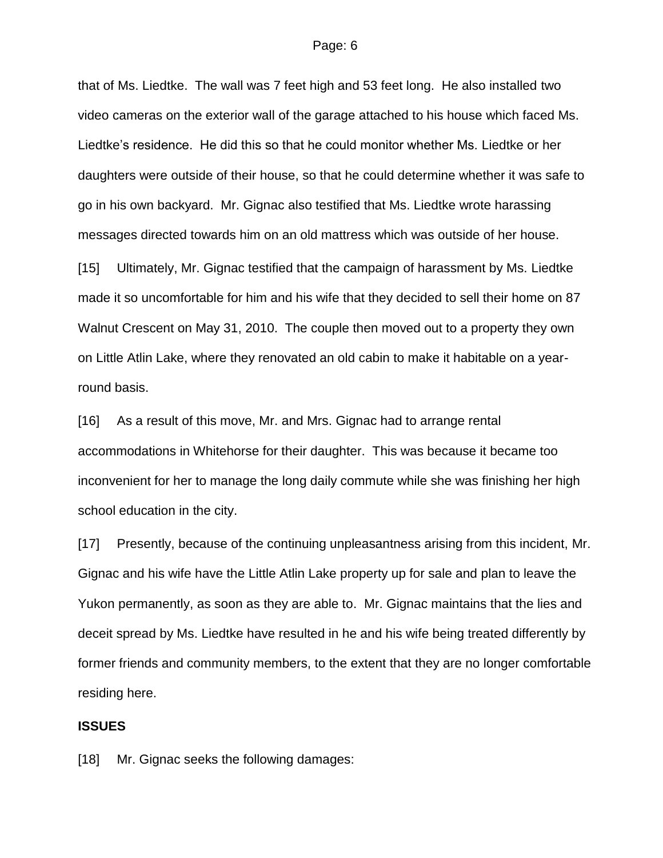that of Ms. Liedtke. The wall was 7 feet high and 53 feet long. He also installed two video cameras on the exterior wall of the garage attached to his house which faced Ms. Liedtke's residence. He did this so that he could monitor whether Ms. Liedtke or her daughters were outside of their house, so that he could determine whether it was safe to go in his own backyard. Mr. Gignac also testified that Ms. Liedtke wrote harassing messages directed towards him on an old mattress which was outside of her house.

[15] Ultimately, Mr. Gignac testified that the campaign of harassment by Ms. Liedtke made it so uncomfortable for him and his wife that they decided to sell their home on 87 Walnut Crescent on May 31, 2010. The couple then moved out to a property they own on Little Atlin Lake, where they renovated an old cabin to make it habitable on a yearround basis.

[16] As a result of this move, Mr. and Mrs. Gignac had to arrange rental accommodations in Whitehorse for their daughter. This was because it became too inconvenient for her to manage the long daily commute while she was finishing her high school education in the city.

[17] Presently, because of the continuing unpleasantness arising from this incident, Mr. Gignac and his wife have the Little Atlin Lake property up for sale and plan to leave the Yukon permanently, as soon as they are able to. Mr. Gignac maintains that the lies and deceit spread by Ms. Liedtke have resulted in he and his wife being treated differently by former friends and community members, to the extent that they are no longer comfortable residing here.

### **ISSUES**

[18] Mr. Gignac seeks the following damages: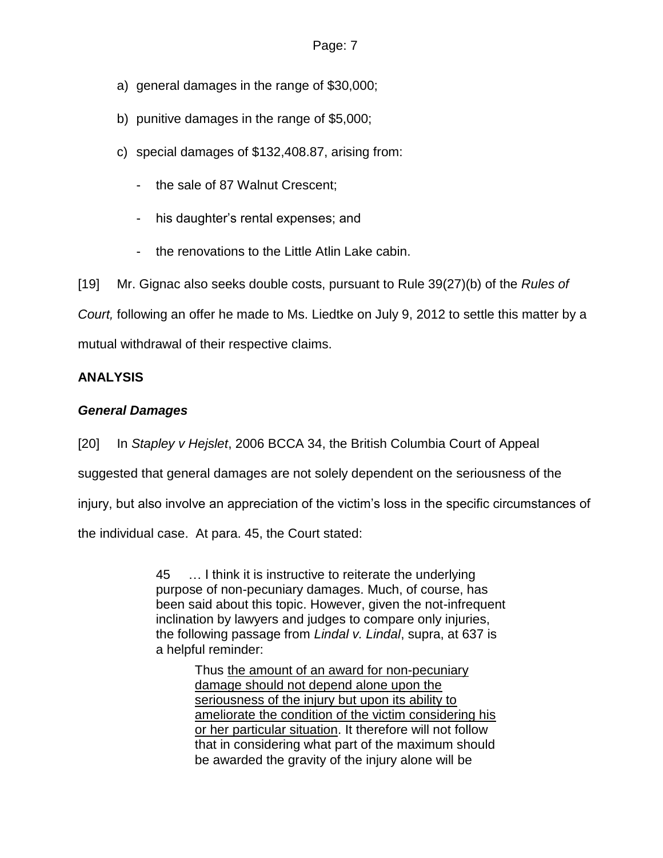- a) general damages in the range of \$30,000;
- b) punitive damages in the range of \$5,000;
- c) special damages of \$132,408.87, arising from:
	- the sale of 87 Walnut Crescent;
	- his daughter's rental expenses; and
	- the renovations to the Little Atlin Lake cabin.

[19] Mr. Gignac also seeks double costs, pursuant to Rule 39(27)(b) of the *Rules of* 

*Court,* following an offer he made to Ms. Liedtke on July 9, 2012 to settle this matter by a

mutual withdrawal of their respective claims.

## **ANALYSIS**

## *General Damages*

[20] In *Stapley v Hejslet*, 2006 BCCA 34, the British Columbia Court of Appeal

suggested that general damages are not solely dependent on the seriousness of the

injury, but also involve an appreciation of the victim's loss in the specific circumstances of

the individual case. At para. 45, the Court stated:

45 … I think it is instructive to reiterate the underlying purpose of non-pecuniary damages. Much, of course, has been said about this topic. However, given the not-infrequent inclination by lawyers and judges to compare only injuries, the following passage from *Lindal v. Lindal*, supra, at 637 is a helpful reminder:

> Thus the amount of an award for non-pecuniary damage should not depend alone upon the seriousness of the injury but upon its ability to ameliorate the condition of the victim considering his or her particular situation. It therefore will not follow that in considering what part of the maximum should be awarded the gravity of the injury alone will be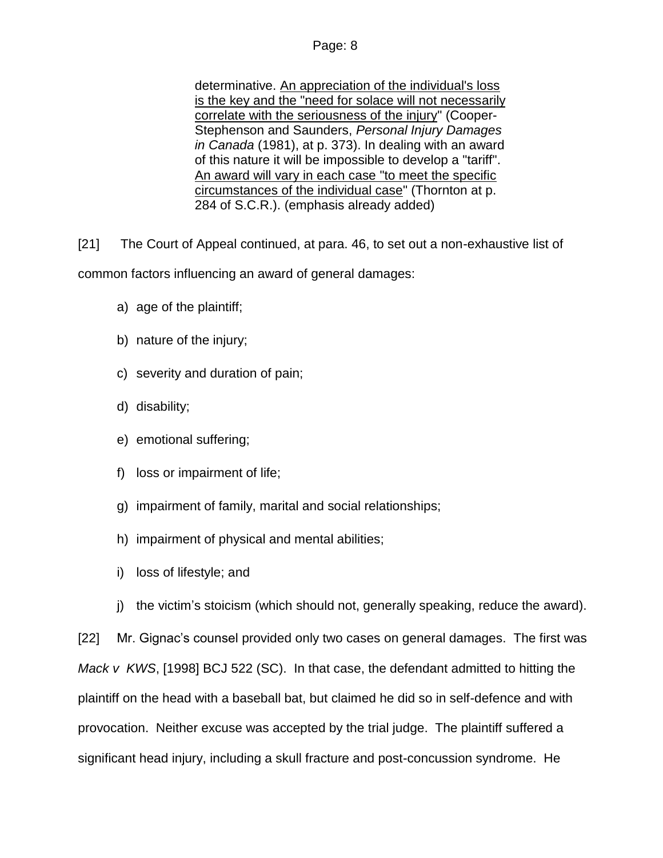determinative. An appreciation of the individual's loss is the key and the "need for solace will not necessarily correlate with the seriousness of the injury" (Cooper-Stephenson and Saunders, *Personal Injury Damages in Canada* (1981), at p. 373). In dealing with an award of this nature it will be impossible to develop a "tariff". An award will vary in each case "to meet the specific circumstances of the individual case" (Thornton at p. 284 of S.C.R.). (emphasis already added)

[21] The Court of Appeal continued, at para. 46, to set out a non-exhaustive list of common factors influencing an award of general damages:

- a) age of the plaintiff;
- b) nature of the injury;
- c) severity and duration of pain;
- d) disability;
- e) emotional suffering;
- f) loss or impairment of life;
- g) impairment of family, marital and social relationships;
- h) impairment of physical and mental abilities;
- i) loss of lifestyle; and
- j) the victim's stoicism (which should not, generally speaking, reduce the award).

[22] Mr. Gignac's counsel provided only two cases on general damages. The first was *Mack v KWS*, [1998] BCJ 522 (SC). In that case, the defendant admitted to hitting the plaintiff on the head with a baseball bat, but claimed he did so in self-defence and with provocation. Neither excuse was accepted by the trial judge. The plaintiff suffered a significant head injury, including a skull fracture and post-concussion syndrome. He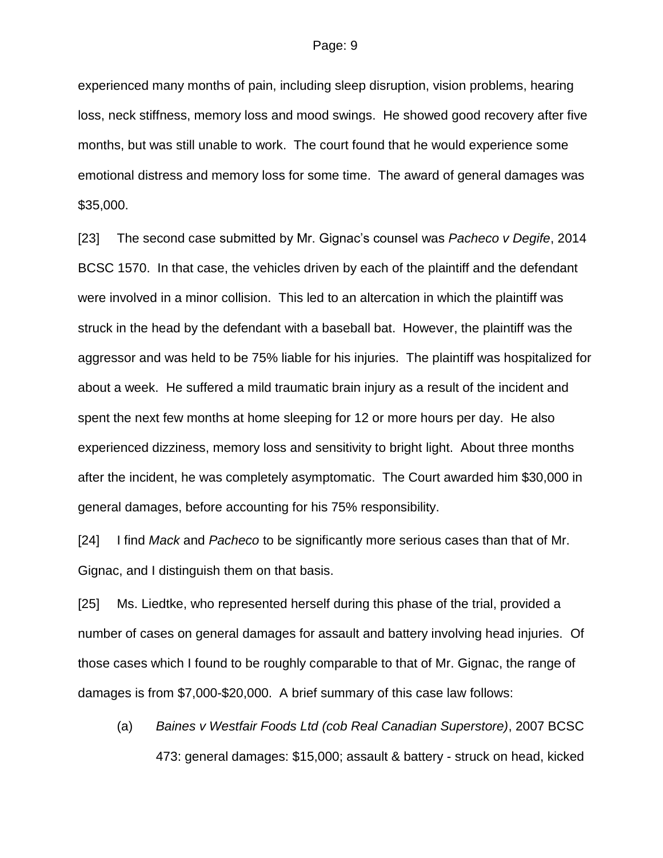experienced many months of pain, including sleep disruption, vision problems, hearing loss, neck stiffness, memory loss and mood swings. He showed good recovery after five months, but was still unable to work. The court found that he would experience some emotional distress and memory loss for some time. The award of general damages was \$35,000.

[23] The second case submitted by Mr. Gignac's counsel was *Pacheco v Degife*, 2014 BCSC 1570. In that case, the vehicles driven by each of the plaintiff and the defendant were involved in a minor collision. This led to an altercation in which the plaintiff was struck in the head by the defendant with a baseball bat. However, the plaintiff was the aggressor and was held to be 75% liable for his injuries. The plaintiff was hospitalized for about a week. He suffered a mild traumatic brain injury as a result of the incident and spent the next few months at home sleeping for 12 or more hours per day. He also experienced dizziness, memory loss and sensitivity to bright light. About three months after the incident, he was completely asymptomatic. The Court awarded him \$30,000 in general damages, before accounting for his 75% responsibility.

[24] I find *Mack* and *Pacheco* to be significantly more serious cases than that of Mr. Gignac, and I distinguish them on that basis.

[25] Ms. Liedtke, who represented herself during this phase of the trial, provided a number of cases on general damages for assault and battery involving head injuries. Of those cases which I found to be roughly comparable to that of Mr. Gignac, the range of damages is from \$7,000-\$20,000. A brief summary of this case law follows:

(a) *Baines v Westfair Foods Ltd (cob Real Canadian Superstore)*, 2007 BCSC 473: general damages: \$15,000; assault & battery - struck on head, kicked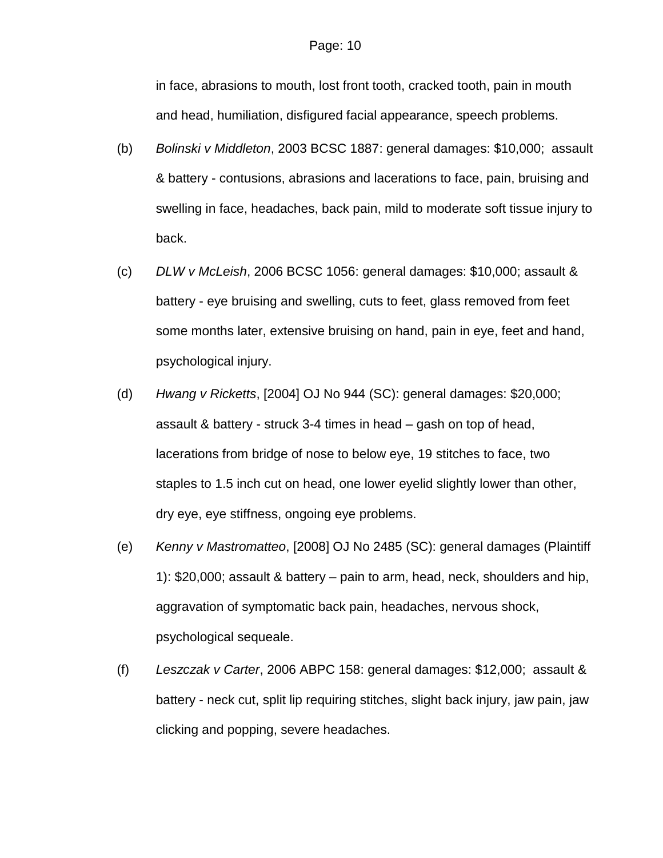in face, abrasions to mouth, lost front tooth, cracked tooth, pain in mouth and head, humiliation, disfigured facial appearance, speech problems.

- (b) *Bolinski v Middleton*, 2003 BCSC 1887: general damages: \$10,000; assault & battery - contusions, abrasions and lacerations to face, pain, bruising and swelling in face, headaches, back pain, mild to moderate soft tissue injury to back.
- (c) *DLW v McLeish*, 2006 BCSC 1056: general damages: \$10,000; assault & battery - eye bruising and swelling, cuts to feet, glass removed from feet some months later, extensive bruising on hand, pain in eye, feet and hand, psychological injury.
- (d) *Hwang v Ricketts*, [2004] OJ No 944 (SC): general damages: \$20,000; assault & battery - struck 3-4 times in head – gash on top of head, lacerations from bridge of nose to below eye, 19 stitches to face, two staples to 1.5 inch cut on head, one lower eyelid slightly lower than other, dry eye, eye stiffness, ongoing eye problems.
- (e) *Kenny v Mastromatteo*, [2008] OJ No 2485 (SC): general damages (Plaintiff 1): \$20,000; assault & battery – pain to arm, head, neck, shoulders and hip, aggravation of symptomatic back pain, headaches, nervous shock, psychological sequeale.
- (f) *Leszczak v Carter*, 2006 ABPC 158: general damages: \$12,000; assault & battery - neck cut, split lip requiring stitches, slight back injury, jaw pain, jaw clicking and popping, severe headaches.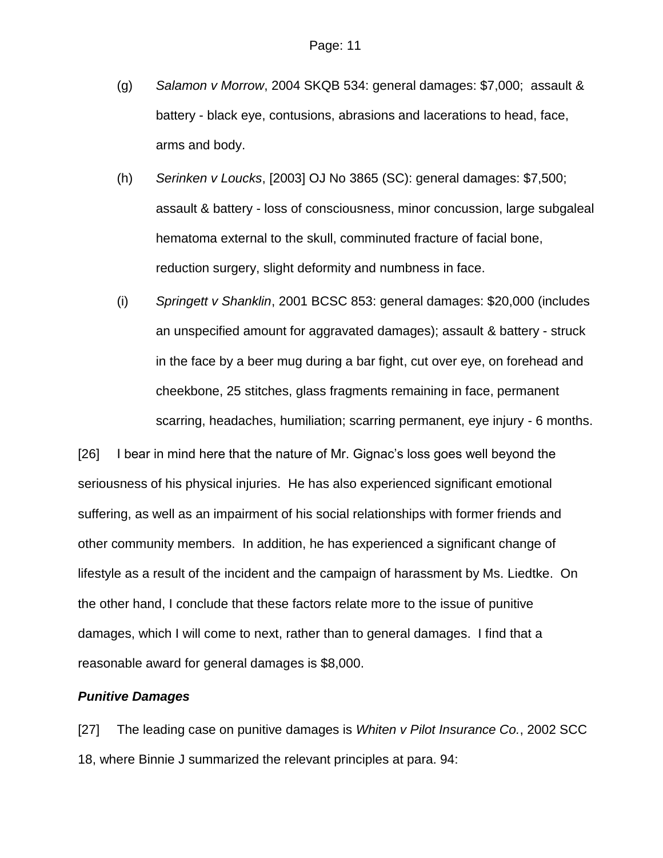- (g) *Salamon v Morrow*, 2004 SKQB 534: general damages: \$7,000; assault & battery - black eye, contusions, abrasions and lacerations to head, face, arms and body.
- (h) *Serinken v Loucks*, [2003] OJ No 3865 (SC): general damages: \$7,500; assault & battery - loss of consciousness, minor concussion, large subgaleal hematoma external to the skull, comminuted fracture of facial bone, reduction surgery, slight deformity and numbness in face.
- (i) *Springett v Shanklin*, 2001 BCSC 853: general damages: \$20,000 (includes an unspecified amount for aggravated damages); assault & battery - struck in the face by a beer mug during a bar fight, cut over eye, on forehead and cheekbone, 25 stitches, glass fragments remaining in face, permanent scarring, headaches, humiliation; scarring permanent, eye injury - 6 months.

[26] I bear in mind here that the nature of Mr. Gignac's loss goes well beyond the seriousness of his physical injuries. He has also experienced significant emotional suffering, as well as an impairment of his social relationships with former friends and other community members. In addition, he has experienced a significant change of lifestyle as a result of the incident and the campaign of harassment by Ms. Liedtke. On the other hand, I conclude that these factors relate more to the issue of punitive damages, which I will come to next, rather than to general damages. I find that a reasonable award for general damages is \$8,000.

### *Punitive Damages*

[27] The leading case on punitive damages is *Whiten v Pilot Insurance Co.*, 2002 SCC 18, where Binnie J summarized the relevant principles at para. 94: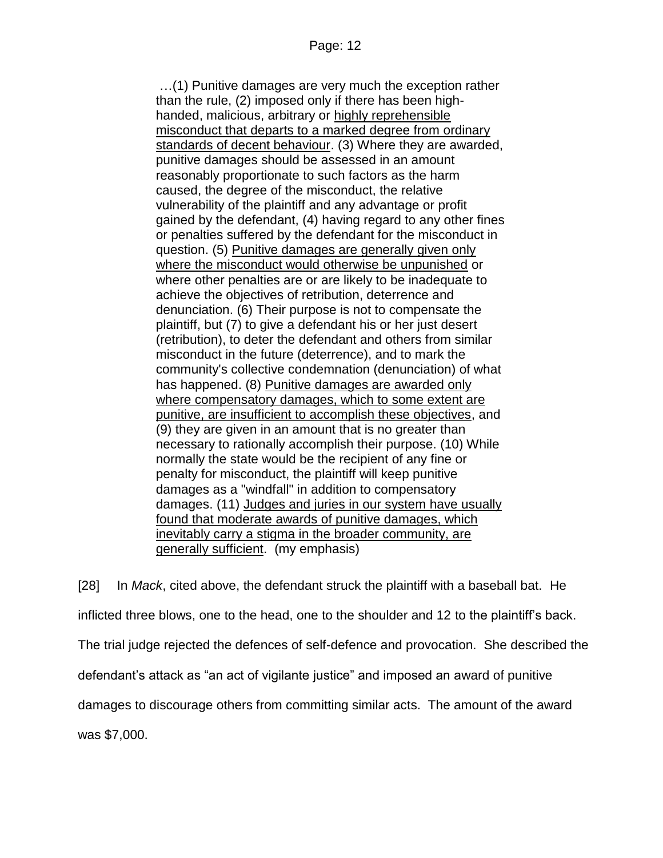…(1) Punitive damages are very much the exception rather than the rule, (2) imposed only if there has been highhanded, malicious, arbitrary or highly reprehensible misconduct that departs to a marked degree from ordinary standards of decent behaviour. (3) Where they are awarded, punitive damages should be assessed in an amount reasonably proportionate to such factors as the harm caused, the degree of the misconduct, the relative vulnerability of the plaintiff and any advantage or profit gained by the defendant, (4) having regard to any other fines or penalties suffered by the defendant for the misconduct in question. (5) Punitive damages are generally given only where the misconduct would otherwise be unpunished or where other penalties are or are likely to be inadequate to achieve the objectives of retribution, deterrence and denunciation. (6) Their purpose is not to compensate the plaintiff, but (7) to give a defendant his or her just desert (retribution), to deter the defendant and others from similar misconduct in the future (deterrence), and to mark the community's collective condemnation (denunciation) of what has happened. (8) Punitive damages are awarded only where compensatory damages, which to some extent are punitive, are insufficient to accomplish these objectives, and (9) they are given in an amount that is no greater than necessary to rationally accomplish their purpose. (10) While normally the state would be the recipient of any fine or penalty for misconduct, the plaintiff will keep punitive damages as a "windfall" in addition to compensatory damages. (11) Judges and juries in our system have usually found that moderate awards of punitive damages, which inevitably carry a stigma in the broader community, are generally sufficient. (my emphasis)

[28] In *Mack*, cited above, the defendant struck the plaintiff with a baseball bat. He inflicted three blows, one to the head, one to the shoulder and 12 to the plaintiff's back. The trial judge rejected the defences of self-defence and provocation. She described the defendant's attack as "an act of vigilante justice" and imposed an award of punitive damages to discourage others from committing similar acts. The amount of the award was \$7,000.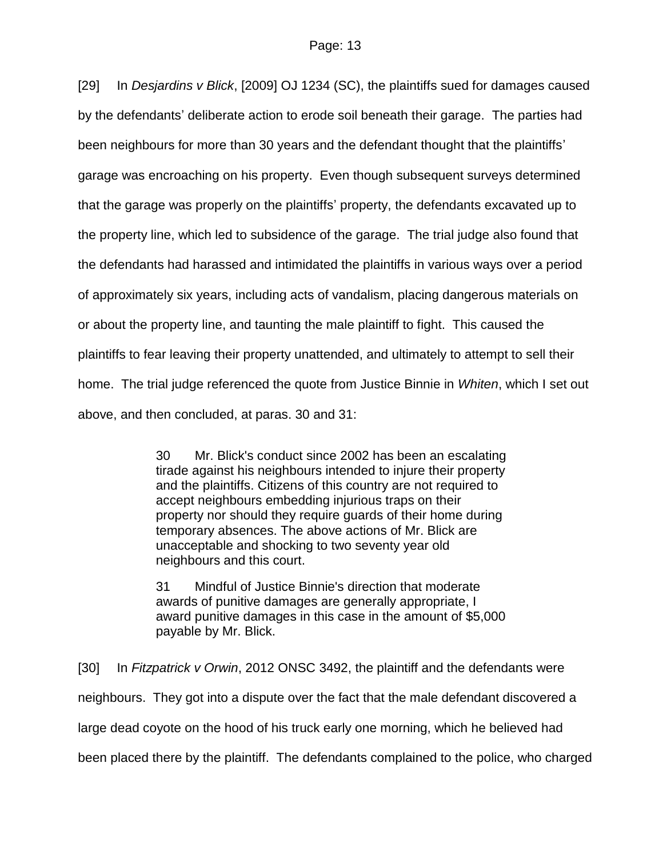[29] In *Desjardins v Blick*, [2009] OJ 1234 (SC), the plaintiffs sued for damages caused by the defendants' deliberate action to erode soil beneath their garage. The parties had been neighbours for more than 30 years and the defendant thought that the plaintiffs' garage was encroaching on his property. Even though subsequent surveys determined that the garage was properly on the plaintiffs' property, the defendants excavated up to the property line, which led to subsidence of the garage. The trial judge also found that the defendants had harassed and intimidated the plaintiffs in various ways over a period of approximately six years, including acts of vandalism, placing dangerous materials on or about the property line, and taunting the male plaintiff to fight. This caused the plaintiffs to fear leaving their property unattended, and ultimately to attempt to sell their home. The trial judge referenced the quote from Justice Binnie in *Whiten*, which I set out above, and then concluded, at paras. 30 and 31:

> 30 Mr. Blick's conduct since 2002 has been an escalating tirade against his neighbours intended to injure their property and the plaintiffs. Citizens of this country are not required to accept neighbours embedding injurious traps on their property nor should they require guards of their home during temporary absences. The above actions of Mr. Blick are unacceptable and shocking to two seventy year old neighbours and this court.

> 31 Mindful of Justice Binnie's direction that moderate awards of punitive damages are generally appropriate, I award punitive damages in this case in the amount of \$5,000 payable by Mr. Blick.

[30] In *Fitzpatrick v Orwin*, 2012 ONSC 3492, the plaintiff and the defendants were neighbours. They got into a dispute over the fact that the male defendant discovered a large dead coyote on the hood of his truck early one morning, which he believed had been placed there by the plaintiff. The defendants complained to the police, who charged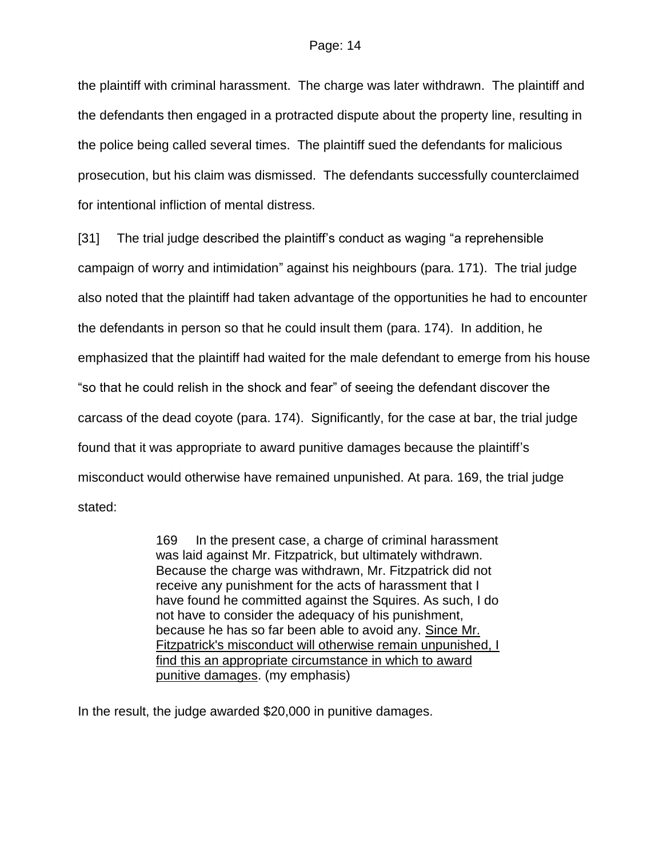the plaintiff with criminal harassment. The charge was later withdrawn. The plaintiff and the defendants then engaged in a protracted dispute about the property line, resulting in the police being called several times. The plaintiff sued the defendants for malicious prosecution, but his claim was dismissed. The defendants successfully counterclaimed for intentional infliction of mental distress.

[31] The trial judge described the plaintiff's conduct as waging "a reprehensible campaign of worry and intimidation" against his neighbours (para. 171). The trial judge also noted that the plaintiff had taken advantage of the opportunities he had to encounter the defendants in person so that he could insult them (para. 174). In addition, he emphasized that the plaintiff had waited for the male defendant to emerge from his house "so that he could relish in the shock and fear" of seeing the defendant discover the carcass of the dead coyote (para. 174). Significantly, for the case at bar, the trial judge found that it was appropriate to award punitive damages because the plaintiff's misconduct would otherwise have remained unpunished. At para. 169, the trial judge stated:

> 169 In the present case, a charge of criminal harassment was laid against Mr. Fitzpatrick, but ultimately withdrawn. Because the charge was withdrawn, Mr. Fitzpatrick did not receive any punishment for the acts of harassment that I have found he committed against the Squires. As such, I do not have to consider the adequacy of his punishment, because he has so far been able to avoid any. Since Mr. Fitzpatrick's misconduct will otherwise remain unpunished, I find this an appropriate circumstance in which to award punitive damages. (my emphasis)

In the result, the judge awarded \$20,000 in punitive damages.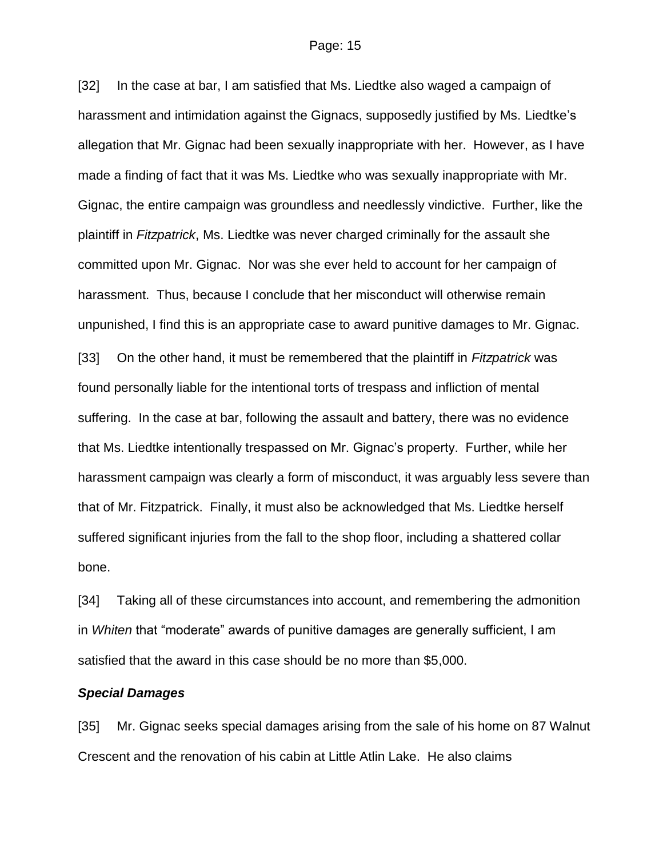[32] In the case at bar, I am satisfied that Ms. Liedtke also waged a campaign of harassment and intimidation against the Gignacs, supposedly justified by Ms. Liedtke's allegation that Mr. Gignac had been sexually inappropriate with her. However, as I have made a finding of fact that it was Ms. Liedtke who was sexually inappropriate with Mr. Gignac, the entire campaign was groundless and needlessly vindictive. Further, like the plaintiff in *Fitzpatrick*, Ms. Liedtke was never charged criminally for the assault she committed upon Mr. Gignac. Nor was she ever held to account for her campaign of harassment. Thus, because I conclude that her misconduct will otherwise remain unpunished, I find this is an appropriate case to award punitive damages to Mr. Gignac. [33] On the other hand, it must be remembered that the plaintiff in *Fitzpatrick* was found personally liable for the intentional torts of trespass and infliction of mental suffering. In the case at bar, following the assault and battery, there was no evidence that Ms. Liedtke intentionally trespassed on Mr. Gignac's property. Further, while her harassment campaign was clearly a form of misconduct, it was arguably less severe than that of Mr. Fitzpatrick. Finally, it must also be acknowledged that Ms. Liedtke herself suffered significant injuries from the fall to the shop floor, including a shattered collar bone.

[34] Taking all of these circumstances into account, and remembering the admonition in *Whiten* that "moderate" awards of punitive damages are generally sufficient, I am satisfied that the award in this case should be no more than \$5,000.

### *Special Damages*

[35] Mr. Gignac seeks special damages arising from the sale of his home on 87 Walnut Crescent and the renovation of his cabin at Little Atlin Lake. He also claims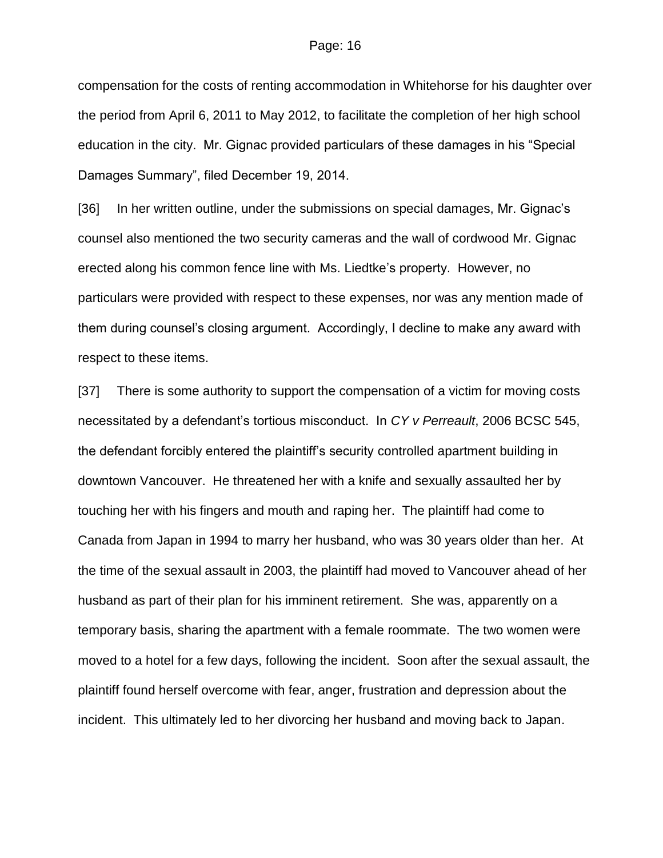compensation for the costs of renting accommodation in Whitehorse for his daughter over the period from April 6, 2011 to May 2012, to facilitate the completion of her high school education in the city. Mr. Gignac provided particulars of these damages in his "Special Damages Summary", filed December 19, 2014.

[36] In her written outline, under the submissions on special damages, Mr. Gignac's counsel also mentioned the two security cameras and the wall of cordwood Mr. Gignac erected along his common fence line with Ms. Liedtke's property. However, no particulars were provided with respect to these expenses, nor was any mention made of them during counsel's closing argument. Accordingly, I decline to make any award with respect to these items.

[37] There is some authority to support the compensation of a victim for moving costs necessitated by a defendant's tortious misconduct. In *CY v Perreault*, 2006 BCSC 545, the defendant forcibly entered the plaintiff's security controlled apartment building in downtown Vancouver. He threatened her with a knife and sexually assaulted her by touching her with his fingers and mouth and raping her. The plaintiff had come to Canada from Japan in 1994 to marry her husband, who was 30 years older than her. At the time of the sexual assault in 2003, the plaintiff had moved to Vancouver ahead of her husband as part of their plan for his imminent retirement. She was, apparently on a temporary basis, sharing the apartment with a female roommate. The two women were moved to a hotel for a few days, following the incident. Soon after the sexual assault, the plaintiff found herself overcome with fear, anger, frustration and depression about the incident. This ultimately led to her divorcing her husband and moving back to Japan.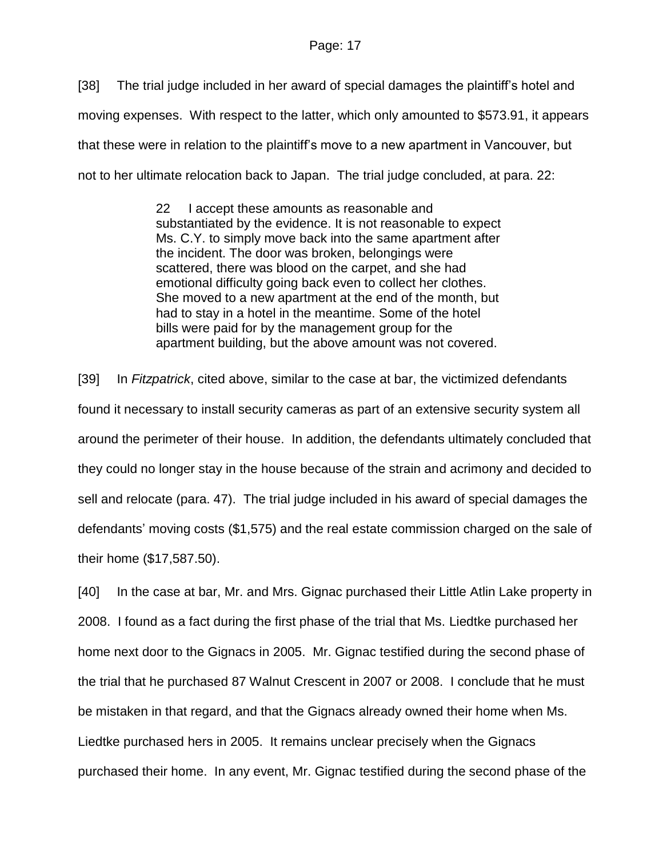[38] The trial judge included in her award of special damages the plaintiff's hotel and moving expenses. With respect to the latter, which only amounted to \$573.91, it appears that these were in relation to the plaintiff's move to a new apartment in Vancouver, but not to her ultimate relocation back to Japan. The trial judge concluded, at para. 22:

> 22 I accept these amounts as reasonable and substantiated by the evidence. It is not reasonable to expect Ms. C.Y. to simply move back into the same apartment after the incident. The door was broken, belongings were scattered, there was blood on the carpet, and she had emotional difficulty going back even to collect her clothes. She moved to a new apartment at the end of the month, but had to stay in a hotel in the meantime. Some of the hotel bills were paid for by the management group for the apartment building, but the above amount was not covered.

[39] In *Fitzpatrick*, cited above, similar to the case at bar, the victimized defendants found it necessary to install security cameras as part of an extensive security system all around the perimeter of their house. In addition, the defendants ultimately concluded that they could no longer stay in the house because of the strain and acrimony and decided to sell and relocate (para. 47). The trial judge included in his award of special damages the defendants' moving costs (\$1,575) and the real estate commission charged on the sale of their home (\$17,587.50).

[40] In the case at bar, Mr. and Mrs. Gignac purchased their Little Atlin Lake property in 2008. I found as a fact during the first phase of the trial that Ms. Liedtke purchased her home next door to the Gignacs in 2005. Mr. Gignac testified during the second phase of the trial that he purchased 87 Walnut Crescent in 2007 or 2008. I conclude that he must be mistaken in that regard, and that the Gignacs already owned their home when Ms. Liedtke purchased hers in 2005. It remains unclear precisely when the Gignacs purchased their home. In any event, Mr. Gignac testified during the second phase of the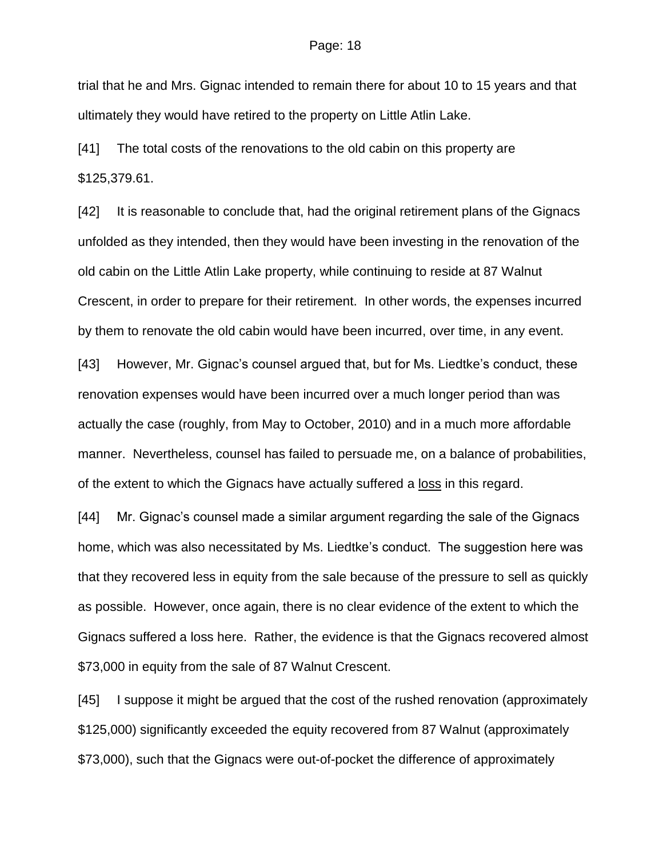trial that he and Mrs. Gignac intended to remain there for about 10 to 15 years and that ultimately they would have retired to the property on Little Atlin Lake.

[41] The total costs of the renovations to the old cabin on this property are \$125,379.61.

[42] It is reasonable to conclude that, had the original retirement plans of the Gignacs unfolded as they intended, then they would have been investing in the renovation of the old cabin on the Little Atlin Lake property, while continuing to reside at 87 Walnut Crescent, in order to prepare for their retirement. In other words, the expenses incurred by them to renovate the old cabin would have been incurred, over time, in any event.

[43] However, Mr. Gignac's counsel argued that, but for Ms. Liedtke's conduct, these renovation expenses would have been incurred over a much longer period than was actually the case (roughly, from May to October, 2010) and in a much more affordable manner. Nevertheless, counsel has failed to persuade me, on a balance of probabilities, of the extent to which the Gignacs have actually suffered a loss in this regard.

[44] Mr. Gignac's counsel made a similar argument regarding the sale of the Gignacs home, which was also necessitated by Ms. Liedtke's conduct. The suggestion here was that they recovered less in equity from the sale because of the pressure to sell as quickly as possible. However, once again, there is no clear evidence of the extent to which the Gignacs suffered a loss here. Rather, the evidence is that the Gignacs recovered almost \$73,000 in equity from the sale of 87 Walnut Crescent.

[45] I suppose it might be argued that the cost of the rushed renovation (approximately \$125,000) significantly exceeded the equity recovered from 87 Walnut (approximately \$73,000), such that the Gignacs were out-of-pocket the difference of approximately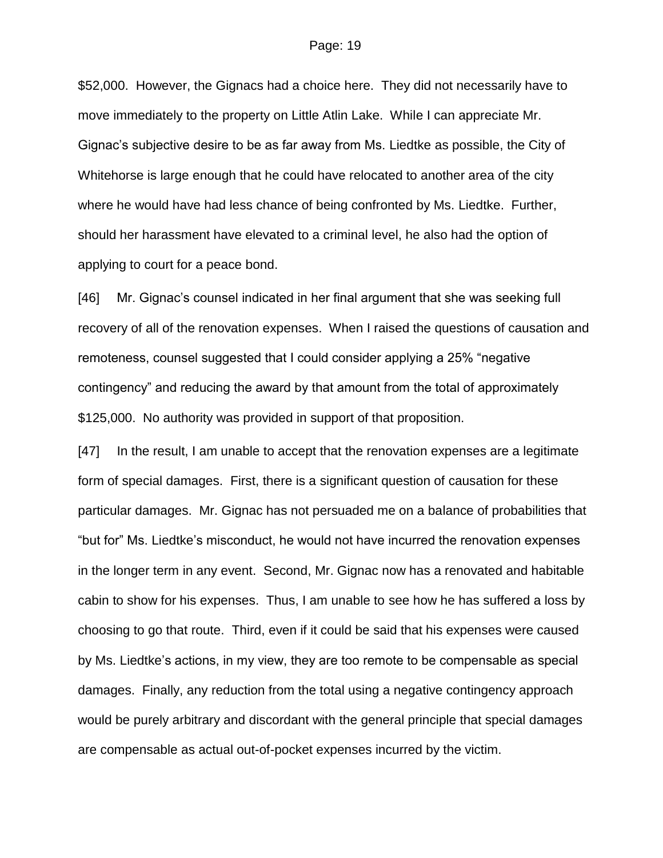\$52,000. However, the Gignacs had a choice here. They did not necessarily have to move immediately to the property on Little Atlin Lake. While I can appreciate Mr. Gignac's subjective desire to be as far away from Ms. Liedtke as possible, the City of Whitehorse is large enough that he could have relocated to another area of the city where he would have had less chance of being confronted by Ms. Liedtke. Further, should her harassment have elevated to a criminal level, he also had the option of applying to court for a peace bond.

[46] Mr. Gignac's counsel indicated in her final argument that she was seeking full recovery of all of the renovation expenses. When I raised the questions of causation and remoteness, counsel suggested that I could consider applying a 25% "negative contingency" and reducing the award by that amount from the total of approximately \$125,000. No authority was provided in support of that proposition.

[47] In the result, I am unable to accept that the renovation expenses are a legitimate form of special damages. First, there is a significant question of causation for these particular damages. Mr. Gignac has not persuaded me on a balance of probabilities that "but for" Ms. Liedtke's misconduct, he would not have incurred the renovation expenses in the longer term in any event. Second, Mr. Gignac now has a renovated and habitable cabin to show for his expenses. Thus, I am unable to see how he has suffered a loss by choosing to go that route. Third, even if it could be said that his expenses were caused by Ms. Liedtke's actions, in my view, they are too remote to be compensable as special damages. Finally, any reduction from the total using a negative contingency approach would be purely arbitrary and discordant with the general principle that special damages are compensable as actual out-of-pocket expenses incurred by the victim.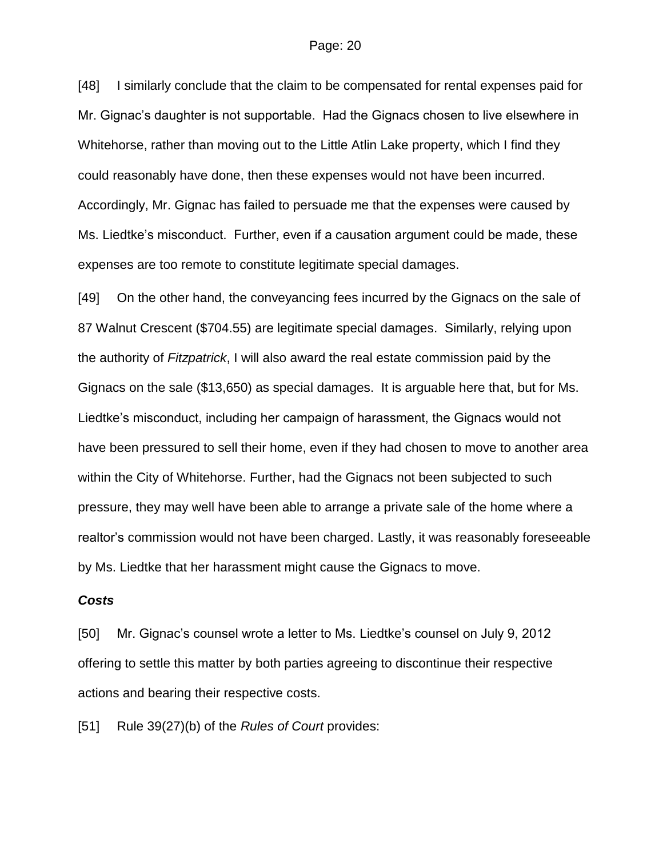[48] I similarly conclude that the claim to be compensated for rental expenses paid for Mr. Gignac's daughter is not supportable. Had the Gignacs chosen to live elsewhere in Whitehorse, rather than moving out to the Little Atlin Lake property, which I find they could reasonably have done, then these expenses would not have been incurred. Accordingly, Mr. Gignac has failed to persuade me that the expenses were caused by Ms. Liedtke's misconduct. Further, even if a causation argument could be made, these expenses are too remote to constitute legitimate special damages.

[49] On the other hand, the conveyancing fees incurred by the Gignacs on the sale of 87 Walnut Crescent (\$704.55) are legitimate special damages. Similarly, relying upon the authority of *Fitzpatrick*, I will also award the real estate commission paid by the Gignacs on the sale (\$13,650) as special damages. It is arguable here that, but for Ms. Liedtke's misconduct, including her campaign of harassment, the Gignacs would not have been pressured to sell their home, even if they had chosen to move to another area within the City of Whitehorse. Further, had the Gignacs not been subjected to such pressure, they may well have been able to arrange a private sale of the home where a realtor's commission would not have been charged. Lastly, it was reasonably foreseeable by Ms. Liedtke that her harassment might cause the Gignacs to move.

### *Costs*

[50] Mr. Gignac's counsel wrote a letter to Ms. Liedtke's counsel on July 9, 2012 offering to settle this matter by both parties agreeing to discontinue their respective actions and bearing their respective costs.

[51] Rule 39(27)(b) of the *Rules of Court* provides: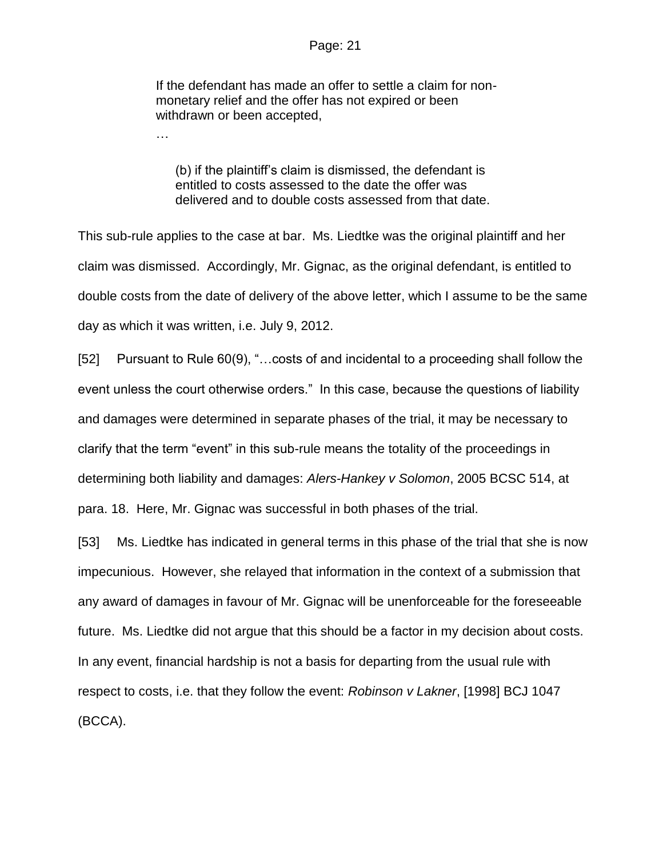If the defendant has made an offer to settle a claim for nonmonetary relief and the offer has not expired or been withdrawn or been accepted,

…

(b) if the plaintiff's claim is dismissed, the defendant is entitled to costs assessed to the date the offer was delivered and to double costs assessed from that date.

This sub-rule applies to the case at bar. Ms. Liedtke was the original plaintiff and her claim was dismissed. Accordingly, Mr. Gignac, as the original defendant, is entitled to double costs from the date of delivery of the above letter, which I assume to be the same day as which it was written, i.e. July 9, 2012.

[52] Pursuant to Rule 60(9), "...costs of and incidental to a proceeding shall follow the event unless the court otherwise orders." In this case, because the questions of liability and damages were determined in separate phases of the trial, it may be necessary to clarify that the term "event" in this sub-rule means the totality of the proceedings in determining both liability and damages: *Alers-Hankey v Solomon*, 2005 BCSC 514, at para. 18. Here, Mr. Gignac was successful in both phases of the trial.

[53] Ms. Liedtke has indicated in general terms in this phase of the trial that she is now impecunious. However, she relayed that information in the context of a submission that any award of damages in favour of Mr. Gignac will be unenforceable for the foreseeable future. Ms. Liedtke did not argue that this should be a factor in my decision about costs. In any event, financial hardship is not a basis for departing from the usual rule with respect to costs, i.e. that they follow the event: *Robinson v Lakner*, [1998] BCJ 1047 (BCCA).